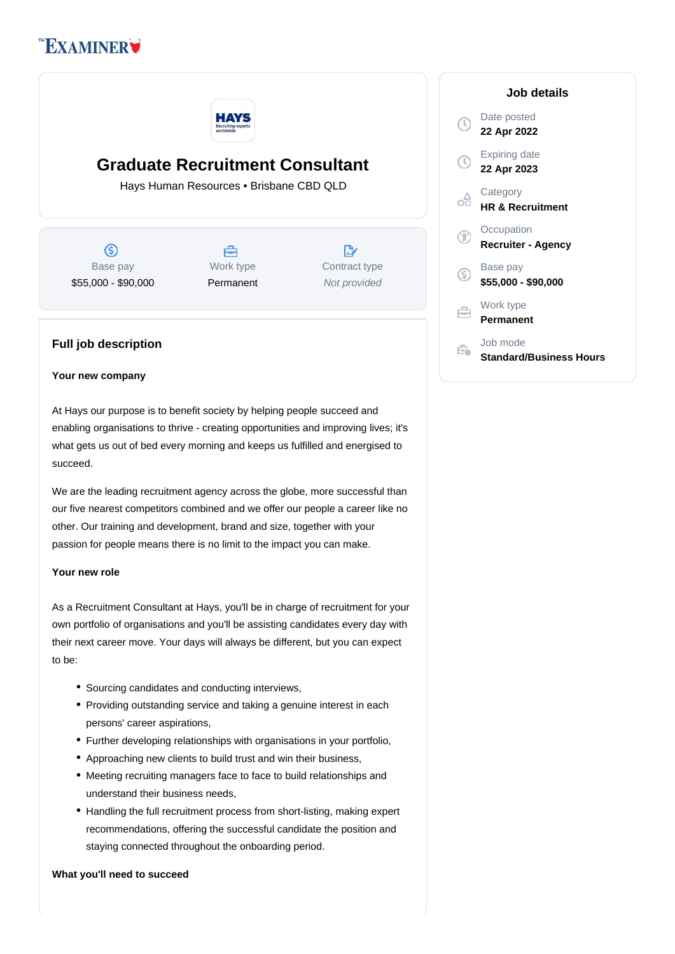# **EXAMINER**



## **Graduate Recruitment Consultant**

Hays Human Resources • Brisbane CBD QLD

(S) Base pay \$55,000 - \$90,000



 $\mathbb{R}^{\cdot}$ Contract type Not provided

### **Full job description**

#### **Your new company**

At Hays our purpose is to benefit society by helping people succeed and enabling organisations to thrive - creating opportunities and improving lives; it's what gets us out of bed every morning and keeps us fulfilled and energised to succeed.

We are the leading recruitment agency across the globe, more successful than our five nearest competitors combined and we offer our people a career like no other. Our training and development, brand and size, together with your passion for people means there is no limit to the impact you can make.

#### **Your new role**

As a Recruitment Consultant at Hays, you'll be in charge of recruitment for your own portfolio of organisations and you'll be assisting candidates every day with their next career move. Your days will always be different, but you can expect to be:

- Sourcing candidates and conducting interviews,
- Providing outstanding service and taking a genuine interest in each persons' career aspirations,
- Further developing relationships with organisations in your portfolio,
- Approaching new clients to build trust and win their business,
- Meeting recruiting managers face to face to build relationships and understand their business needs,
- Handling the full recruitment process from short-listing, making expert recommendations, offering the successful candidate the position and staying connected throughout the onboarding period.

#### **What you'll need to succeed**

| Job details                                |
|--------------------------------------------|
| Date posted<br>22 Apr 2022                 |
| <b>Expiring date</b><br>22 Apr 2023        |
| Category<br><b>HR &amp; Recruitment</b>    |
| Occupation<br>Recruiter - Agency           |
| Base pay<br>\$55,000 - \$90,000            |
| Work type<br>Permanent                     |
| Job mode<br><b>Standard/Business Hours</b> |